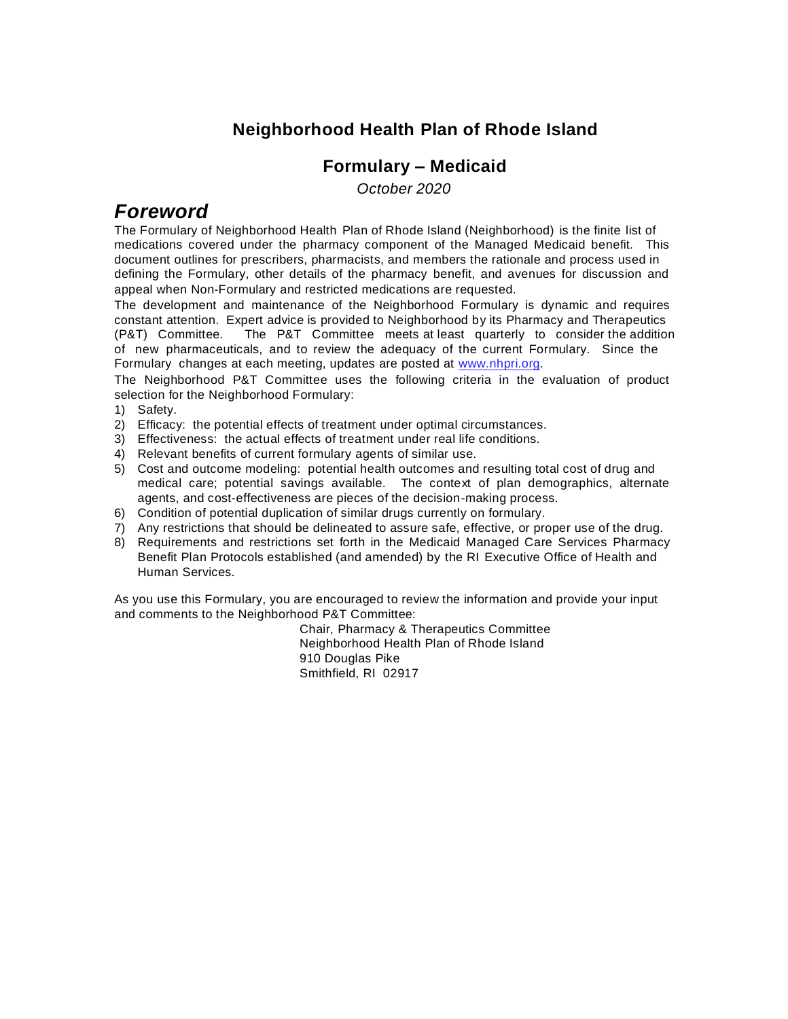#### **Neighborhood Health Plan of Rhode Island**

#### **Formulary – Medicaid**

 *October 2020*

### *Foreword*

The Formulary of Neighborhood Health Plan of Rhode Island (Neighborhood) is the finite list of medications covered under the pharmacy component of the Managed Medicaid benefit. This document outlines for prescribers, pharmacists, and members the rationale and process used in defining the Formulary, other details of the pharmacy benefit, and avenues for discussion and appeal when Non-Formulary and restricted medications are requested.

The development and maintenance of the Neighborhood Formulary is dynamic and requires constant attention. Expert advice is provided to Neighborhood by its Pharmacy and Therapeutics (P&T) Committee. The P&T Committee meets at least quarterly to consider the addition of new pharmaceuticals, and to review the adequacy of the current Formulary. Since the Formulary changes at each meeting, updates are posted at [www.nhpri.org.](http://www.nhpri.org/) 

The Neighborhood P&T Committee uses the following criteria in the evaluation of product selection for the Neighborhood Formulary:

- 1) Safety.
- 2) Efficacy: the potential effects of treatment under optimal circumstances.
- 3) Effectiveness: the actual effects of treatment under real life conditions.
- 4) Relevant benefits of current formulary agents of similar use.
- 5) Cost and outcome modeling: potential health outcomes and resulting total cost of drug and medical care; potential savings available. The context of plan demographics, alternate agents, and cost-effectiveness are pieces of the decision-making process.
- 6) Condition of potential duplication of similar drugs currently on formulary.
- 7) Any restrictions that should be delineated to assure safe, effective, or proper use of the drug.
- 8) Requirements and restrictions set forth in the Medicaid Managed Care Services Pharmacy Benefit Plan Protocols established (and amended) by the RI Executive Office of Health and Human Services.

As you use this Formulary, you are encouraged to review the information and provide your input and comments to the Neighborhood P&T Committee:

> Chair, Pharmacy & Therapeutics Committee Neighborhood Health Plan of Rhode Island 910 Douglas Pike Smithfield, RI 02917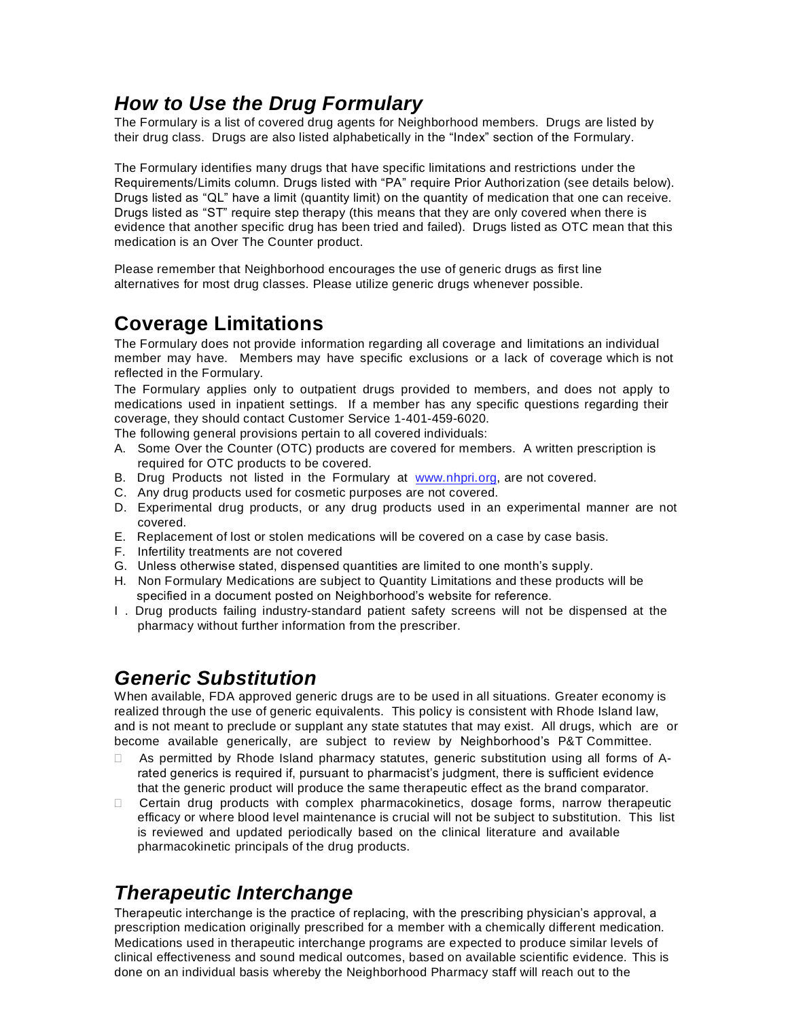### *How to Use the Drug Formulary*

The Formulary is a list of covered drug agents for Neighborhood members. Drugs are listed by their drug class. Drugs are also listed alphabetically in the "Index" section of the Formulary.

The Formulary identifies many drugs that have specific limitations and restrictions under the Requirements/Limits column. Drugs listed with "PA" require Prior Authorization (see details below). Drugs listed as "QL" have a limit (quantity limit) on the quantity of medication that one can receive. Drugs listed as "ST" require step therapy (this means that they are only covered when there is evidence that another specific drug has been tried and failed). Drugs listed as OTC mean that this medication is an Over The Counter product.

Please remember that Neighborhood encourages the use of generic drugs as first line alternatives for most drug classes. Please utilize generic drugs whenever possible.

# **Coverage Limitations**

The Formulary does not provide information regarding all coverage and limitations an individual member may have. Members may have specific exclusions or a lack of coverage which is not reflected in the Formulary.

The Formulary applies only to outpatient drugs provided to members, and does not apply to medications used in inpatient settings. If a member has any specific questions regarding their coverage, they should contact Customer Service 1-401-459-6020.

The following general provisions pertain to all covered individuals:

- A. Some Over the Counter (OTC) products are covered for members. A written prescription is required for OTC products to be covered.
- B. Drug Products not listed in the Formulary at [www.nhpri.org,](http://www.nhpri.org/) are not covered.
- C. Any drug products used for cosmetic purposes are not covered.
- D. Experimental drug products, or any drug products used in an experimental manner are not covered.
- E. Replacement of lost or stolen medications will be covered on a case by case basis.
- F. Infertility treatments are not covered
- G. Unless otherwise stated, dispensed quantities are limited to one month's supply.
- H. Non Formulary Medications are subject to Quantity Limitations and these products will be specified in a document posted on Neighborhood's website for reference.
- I . Drug products failing industry-standard patient safety screens will not be dispensed at the pharmacy without further information from the prescriber.

# *Generic Substitution*

When available, FDA approved generic drugs are to be used in all situations. Greater economy is realized through the use of generic equivalents. This policy is consistent with Rhode Island law, and is not meant to preclude or supplant any state statutes that may exist. All drugs, which are or become available generically, are subject to review by Neighborhood's P&T Committee.

- As permitted by Rhode Island pharmacy statutes, generic substitution using all forms of Arated generics is required if, pursuant to pharmacist's judgment, there is sufficient evidence that the generic product will produce the same therapeutic effect as the brand comparator.
- Certain drug products with complex pharmacokinetics, dosage forms, narrow therapeutic efficacy or where blood level maintenance is crucial will not be subject to substitution. This list is reviewed and updated periodically based on the clinical literature and available pharmacokinetic principals of the drug products.

# *Therapeutic Interchange*

Therapeutic interchange is the practice of replacing, with the prescribing physician's approval, a prescription medication originally prescribed for a member with a chemically different medication. Medications used in therapeutic interchange programs are expected to produce similar levels of clinical effectiveness and sound medical outcomes, based on available scientific evidence. This is done on an individual basis whereby the Neighborhood Pharmacy staff will reach out to the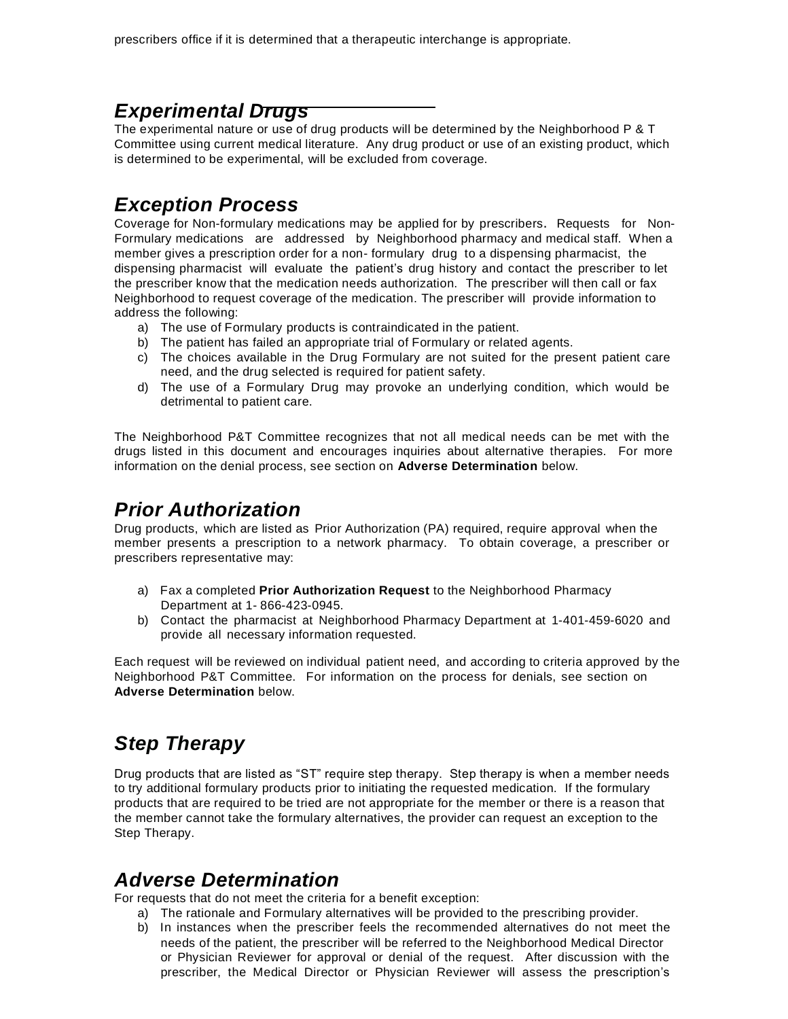### *Experimental Drugs*

The experimental nature or use of drug products will be determined by the Neighborhood P & T Committee using current medical literature. Any drug product or use of an existing product, which is determined to be experimental, will be excluded from coverage.

### *Exception Process*

Coverage for Non-formulary medications may be applied for by prescribers. Requests for Non-Formulary medications are addressed by Neighborhood pharmacy and medical staff. When a member gives a prescription order for a non- formulary drug to a dispensing pharmacist, the dispensing pharmacist will evaluate the patient's drug history and contact the prescriber to let the prescriber know that the medication needs authorization. The prescriber will then call or fax Neighborhood to request coverage of the medication. The prescriber will provide information to address the following:

- a) The use of Formulary products is contraindicated in the patient.
- b) The patient has failed an appropriate trial of Formulary or related agents.
- c) The choices available in the Drug Formulary are not suited for the present patient care need, and the drug selected is required for patient safety.
- d) The use of a Formulary Drug may provoke an underlying condition, which would be detrimental to patient care.

The Neighborhood P&T Committee recognizes that not all medical needs can be met with the drugs listed in this document and encourages inquiries about alternative therapies. For more information on the denial process, see section on **Adverse Determination** below.

### *Prior Authorization*

Drug products, which are listed as Prior Authorization (PA) required, require approval when the member presents a prescription to a network pharmacy. To obtain coverage, a prescriber or prescribers representative may:

- a) Fax a completed **Prior Authorization Request** to the Neighborhood Pharmacy Department at 1- 866-423-0945.
- b) Contact the pharmacist at Neighborhood Pharmacy Department at 1-401-459-6020 and provide all necessary information requested.

Each request will be reviewed on individual patient need, and according to criteria approved by the Neighborhood P&T Committee. For information on the process for denials, see section on **Adverse Determination** below.

# *Step Therapy*

Drug products that are listed as "ST" require step therapy. Step therapy is when a member needs to try additional formulary products prior to initiating the requested medication. If the formulary products that are required to be tried are not appropriate for the member or there is a reason that the member cannot take the formulary alternatives, the provider can request an exception to the Step Therapy.

### *Adverse Determination*

For requests that do not meet the criteria for a benefit exception:

- a) The rationale and Formulary alternatives will be provided to the prescribing provider.
- b) In instances when the prescriber feels the recommended alternatives do not meet the needs of the patient, the prescriber will be referred to the Neighborhood Medical Director or Physician Reviewer for approval or denial of the request. After discussion with the prescriber, the Medical Director or Physician Reviewer will assess the prescription's